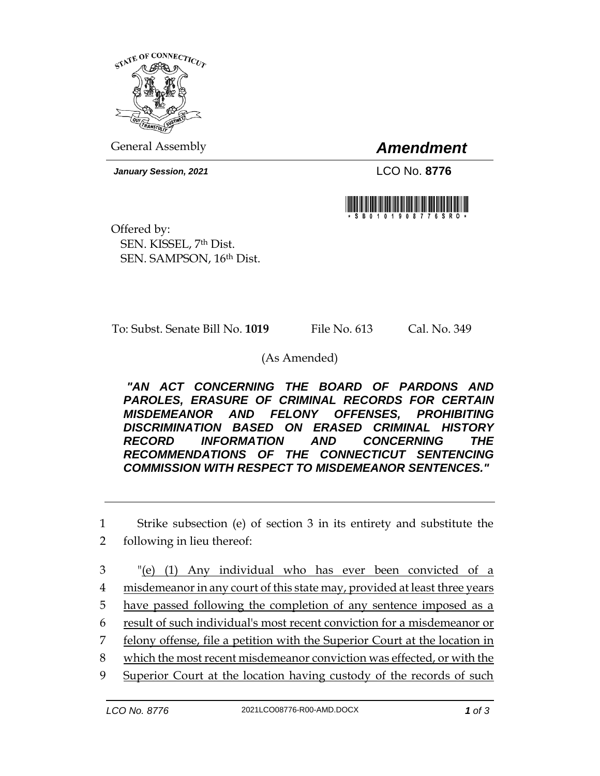

General Assembly *Amendment*

*January Session, 2021* LCO No. **8776**



Offered by: SEN. KISSEL, 7th Dist. SEN. SAMPSON, 16th Dist.

To: Subst. Senate Bill No. **1019** File No. 613 Cal. No. 349

(As Amended)

*"AN ACT CONCERNING THE BOARD OF PARDONS AND PAROLES, ERASURE OF CRIMINAL RECORDS FOR CERTAIN MISDEMEANOR AND FELONY OFFENSES, PROHIBITING DISCRIMINATION BASED ON ERASED CRIMINAL HISTORY RECORD INFORMATION AND CONCERNING THE RECOMMENDATIONS OF THE CONNECTICUT SENTENCING COMMISSION WITH RESPECT TO MISDEMEANOR SENTENCES."* 

1 Strike subsection (e) of section 3 in its entirety and substitute the

2 following in lieu thereof:

 "(e) (1) Any individual who has ever been convicted of a misdemeanor in any court of this state may, provided at least three years have passed following the completion of any sentence imposed as a result of such individual's most recent conviction for a misdemeanor or felony offense, file a petition with the Superior Court at the location in which the most recent misdemeanor conviction was effected, or with the Superior Court at the location having custody of the records of such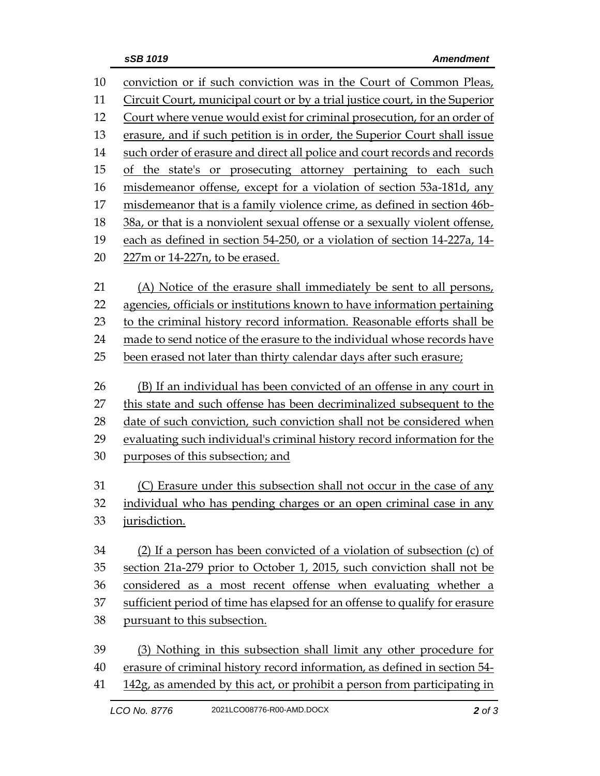| 10       | conviction or if such conviction was in the Court of Common Pleas,                                                                      |
|----------|-----------------------------------------------------------------------------------------------------------------------------------------|
| 11       | Circuit Court, municipal court or by a trial justice court, in the Superior                                                             |
| 12       | Court where venue would exist for criminal prosecution, for an order of                                                                 |
| 13       | erasure, and if such petition is in order, the Superior Court shall issue                                                               |
| 14       | such order of erasure and direct all police and court records and records                                                               |
| 15       | of the state's or prosecuting attorney pertaining to each such                                                                          |
| 16       | misdemeanor offense, except for a violation of section 53a-181d, any                                                                    |
| 17       | misdemeanor that is a family violence crime, as defined in section 46b-                                                                 |
| 18       | 38a, or that is a nonviolent sexual offense or a sexually violent offense,                                                              |
| 19       | each as defined in section 54-250, or a violation of section 14-227a, 14-                                                               |
| 20       | 227m or 14-227n, to be erased.                                                                                                          |
| 21       | (A) Notice of the erasure shall immediately be sent to all persons,                                                                     |
| 22       | agencies, officials or institutions known to have information pertaining                                                                |
| 23       | to the criminal history record information. Reasonable efforts shall be                                                                 |
| 24       | made to send notice of the erasure to the individual whose records have                                                                 |
| 25       | been erased not later than thirty calendar days after such erasure;                                                                     |
| 26       | (B) If an individual has been convicted of an offense in any court in                                                                   |
| 27       | this state and such offense has been decriminalized subsequent to the                                                                   |
| 28       | date of such conviction, such conviction shall not be considered when                                                                   |
| 29       |                                                                                                                                         |
|          |                                                                                                                                         |
| 30       | evaluating such individual's criminal history record information for the<br>purposes of this subsection; and                            |
|          |                                                                                                                                         |
| 31<br>32 | (C) Erasure under this subsection shall not occur in the case of any                                                                    |
| 33       | individual who has pending charges or an open criminal case in any<br>jurisdiction.                                                     |
| 34       |                                                                                                                                         |
| 35       | (2) If a person has been convicted of a violation of subsection (c) of                                                                  |
| 36       | section 21a-279 prior to October 1, 2015, such conviction shall not be<br>considered as a most recent offense when evaluating whether a |
| 37       |                                                                                                                                         |
| 38       | sufficient period of time has elapsed for an offense to qualify for erasure<br>pursuant to this subsection.                             |
| 39       | (3) Nothing in this subsection shall limit any other procedure for                                                                      |

41 142g, as amended by this act, or prohibit a person from participating in